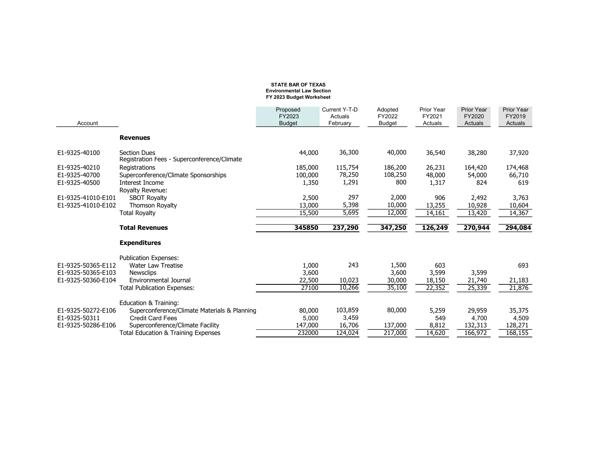## STATE BAR OF TEXAS Environmental Law Section FY 2023 Budget Worksheet

| Account            |                                                                         | Proposed<br>FY2023<br><b>Budget</b> | Current Y-T-D<br>Actuals<br>February | Adopted<br>FY2022<br><b>Budget</b> | Prior Year<br>FY2021<br>Actuals | <b>Prior Year</b><br>FY2020<br>Actuals | <b>Prior Year</b><br>FY2019<br>Actuals |
|--------------------|-------------------------------------------------------------------------|-------------------------------------|--------------------------------------|------------------------------------|---------------------------------|----------------------------------------|----------------------------------------|
|                    | <b>Revenues</b>                                                         |                                     |                                      |                                    |                                 |                                        |                                        |
| E1-9325-40100      | <b>Section Dues</b><br>Registration Fees - Superconference/Climate      | 44,000                              | 36,300                               | 40,000                             | 36,540                          | 38,280                                 | 37,920                                 |
| E1-9325-40210      | Registrations                                                           | 185,000                             | 115,754                              | 186,200                            | 26,231                          | 164,420                                | 174,468                                |
| E1-9325-40700      | Superconference/Climate Sponsorships                                    | 100,000                             | 78,250                               | 108,250                            | 48,000                          | 54,000                                 | 66,710                                 |
| E1-9325-40500      | Interest Income                                                         | 1,350                               | 1,291                                | 800                                | 1,317                           | 824                                    | 619                                    |
|                    | Royalty Revenue:                                                        |                                     |                                      |                                    |                                 |                                        |                                        |
| E1-9325-41010-E101 | <b>SBOT Royalty</b>                                                     | 2,500                               | 297                                  | 2,000                              | 906                             | 2,492                                  | 3,763                                  |
| E1-9325-41010-E102 | <b>Thomson Royalty</b>                                                  | 13,000                              | 5,398                                | 10,000                             | 13,255                          | 10,928                                 | 10,604                                 |
|                    | <b>Total Royalty</b>                                                    | 15,500                              | 5,695                                | 12,000                             | 14,161                          | 13,420                                 | 14,367                                 |
|                    | <b>Total Revenues</b>                                                   | 345850                              | 237,290                              | 347,250                            | 126,249                         | 270,944                                | 294,084                                |
|                    | <b>Expenditures</b>                                                     |                                     |                                      |                                    |                                 |                                        |                                        |
|                    | <b>Publication Expenses:</b>                                            |                                     |                                      |                                    |                                 |                                        |                                        |
| E1-9325-50365-E112 | <b>Water Law Treatise</b>                                               | 1,000                               | 243                                  | 1,500                              | 603                             |                                        | 693                                    |
| E1-9325-50365-E103 | <b>Newsclips</b>                                                        | 3,600                               |                                      | 3,600                              | 3,599                           | 3,599                                  |                                        |
| E1-9325-50360-E104 | Environmental Journal                                                   | 22,500                              | 10,023                               | 30,000                             | 18,150                          | 21,740                                 | 21,183                                 |
|                    | <b>Total Publication Expenses:</b>                                      | 27100                               | 10,266                               | 35,100                             | 22,352                          | 25,339                                 | 21,876                                 |
|                    |                                                                         |                                     |                                      |                                    |                                 |                                        |                                        |
|                    |                                                                         |                                     |                                      |                                    |                                 |                                        |                                        |
|                    | Education & Training:                                                   |                                     |                                      |                                    |                                 |                                        |                                        |
| E1-9325-50272-E106 | Superconference/Climate Materials & Planning                            | 80,000                              | 103,859                              | 80,000                             | 5,259                           | 29,959                                 | 35,375                                 |
| E1-9325-50311      | <b>Credit Card Fees</b>                                                 | 5.000                               | 3,459                                |                                    | 549                             | 4,700                                  | 4,509                                  |
| E1-9325-50286-E106 | Superconference/Climate Facility<br>Total Education & Training Expenses | 147,000<br>232000                   | 16,706<br>124,024                    | 137,000<br>217,000                 | 8,812<br>14,620                 | 132,313<br>166,972                     | 128,271<br>168,155                     |